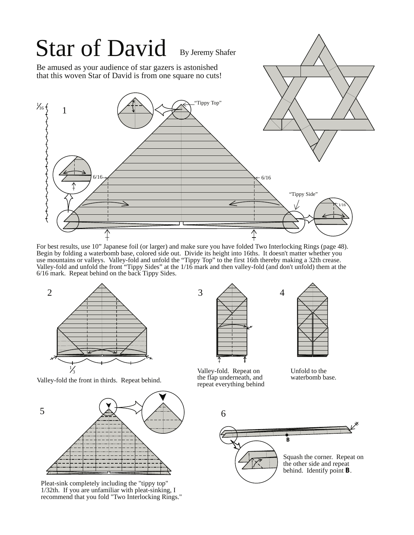

For best results, use 10" Japanese foil (or larger) and make sure you have folded Two Interlocking Rings (page 48). Begin by folding a waterbomb base, colored side out. Divide its height into 16ths. It doesn't matter whether you use mountains or valleys. Valley-fold and unfold the "Tippy Top" to the first 16th thereby making a 32th crease. Valley-fold and unfold the front "Tippy Sides" at the 1/16 mark and then valley-fold (and don't unfold) them at the 6/16 mark. Repeat behind on the back Tippy Sides.



Valley-fold the front in thirds. Repeat behind.



Pleat-sink completely including the "tippy top" 1/32th. If you are unfamiliar with pleat-sinking, I recommend that you fold "Two Interlocking Rings."





Valley-fold. Repeat on the flap underneath, and repeat everything behind

Unfold to the waterbomb base.

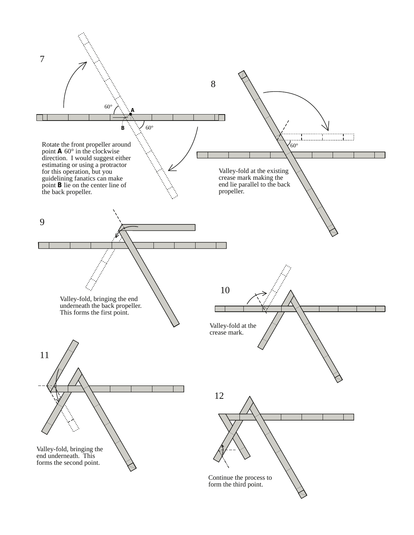